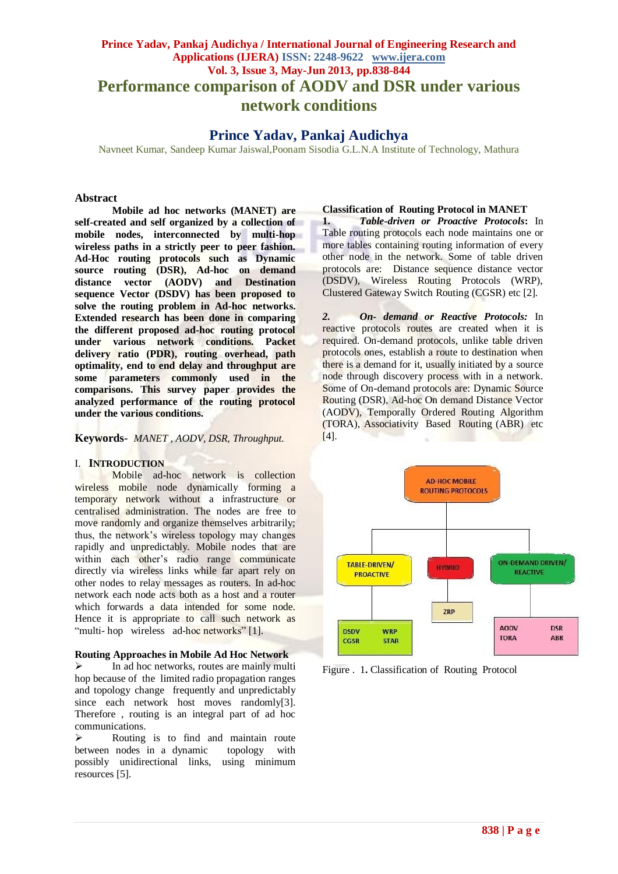# **Prince Yadav, Pankaj Audichya / International Journal of Engineering Research and Applications (IJERA) ISSN: 2248-9622 www.ijera.com Vol. 3, Issue 3, May-Jun 2013, pp.838-844 Performance comparison of AODV and DSR under various network conditions**

# **Prince Yadav, Pankaj Audichya**

Navneet Kumar, Sandeep Kumar Jaiswal,Poonam Sisodia G.L.N.A Institute of Technology, Mathura

#### **Abstract**

**Mobile ad hoc networks (MANET) are self-created and self organized by a collection of mobile nodes, interconnected by multi-hop wireless paths in a strictly peer to peer fashion. Ad-Hoc routing protocols such as Dynamic source routing (DSR), Ad-hoc on demand distance vector (AODV) and Destination sequence Vector (DSDV) has been proposed to solve the routing problem in Ad-hoc networks. Extended research has been done in comparing the different proposed ad-hoc routing protocol under various network conditions. Packet delivery ratio (PDR), routing overhead, path optimality, end to end delay and throughput are some parameters commonly used in the comparisons. This survey paper provides the analyzed performance of the routing protocol under the various conditions.**

**Keywords-** *MANET , AODV, DSR, Throughput.*

#### I. **INTRODUCTION**

Mobile ad-hoc network is collection wireless mobile node dynamically forming a temporary network without a infrastructure or centralised administration. The nodes are free to move randomly and organize themselves arbitrarily; thus, the network's wireless topology may changes rapidly and unpredictably. Mobile nodes that are within each other's radio range communicate directly via wireless links while far apart rely on other nodes to relay messages as routers. In ad-hoc network each node acts both as a host and a router which forwards a data intended for some node. Hence it is appropriate to call such network as "multi- hop wireless ad-hoc networks" [1].

#### **Routing Approaches in Mobile Ad Hoc Network**

 $\triangleright$  In ad hoc networks, routes are mainly multi hop because of the limited radio propagation ranges and topology change frequently and unpredictably since each network host moves randomly[3]. Therefore , routing is an integral part of ad hoc communications.

 $\triangleright$  Routing is to find and maintain route between nodes in a dynamic topology with possibly unidirectional links, using minimum resources [5].

#### **Classification of Routing Protocol in MANET**

**1.** *Table-driven or Proactive Protocols***:** In Table routing protocols each node maintains one or more tables containing routing information of every other node in the network. Some of table driven protocols are: Distance sequence distance vector (DSDV), Wireless Routing Protocols (WRP), Clustered Gateway Switch Routing (CGSR) etc [2].

*2. On- demand or Reactive Protocols:* In reactive protocols routes are created when it is required. On-demand protocols, unlike table driven protocols ones, establish a route to destination when there is a demand for it, usually initiated by a source node through discovery process with in a network. Some of On-demand protocols are: Dynamic Source Routing (DSR), Ad-hoc On demand Distance Vector (AODV), Temporally Ordered Routing Algorithm (TORA), Associativity Based Routing (ABR) etc [4].



Figure . 1**.** Classification of Routing Protocol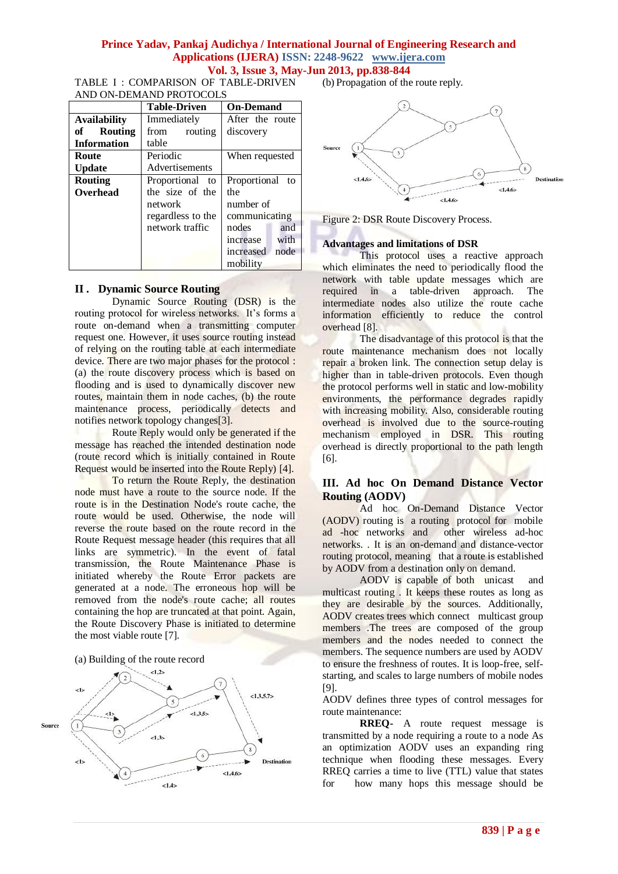| TABLE I : COMPARISON OF TABLE-DRIVEN |  |
|--------------------------------------|--|
| AND ON-DEMAND PROTOCOLS              |  |

|                     | <b>Table-Driven</b> | <b>On-Demand</b>   |
|---------------------|---------------------|--------------------|
| <b>Availability</b> | Immediately         | After the route    |
| of Routing          | from<br>routing     | discovery          |
| <b>Information</b>  | table               |                    |
| Route               | Periodic            | When requested     |
| <b>Update</b>       | Advertisements      |                    |
| <b>Routing</b>      | Proportional to     | Proportional<br>to |
| Overhead            | the size of the     | the                |
|                     | network             | number of          |
| regardless to the   |                     | communicating      |
|                     | network traffic     | and<br>nodes       |
|                     |                     | with<br>increase   |
|                     |                     | increased<br>node  |
|                     |                     | mobility           |

## **II** *.* **Dynamic Source Routing**

Dynamic Source Routing (DSR) is the routing protocol for wireless networks. It's forms a route on-demand when a transmitting computer request one. However, it uses source routing instead of relying on the routing table at each intermediate device. There are two major phases for the protocol : (a) the route discovery process which is based on flooding and is used to dynamically discover new routes, maintain them in node caches, (b) the route maintenance process, periodically detects and notifies network topology changes[3].

Route Reply would only be generated if the message has reached the intended destination node (route record which is initially contained in Route Request would be inserted into the Route Reply) [4].

To return the Route Reply, the destination node must have a route to the source node. If the route is in the Destination Node's route cache, the route would be used. Otherwise, the node will reverse the route based on the route record in the Route Request message header (this requires that all links are symmetric). In the event of fatal transmission, the Route Maintenance Phase is initiated whereby the Route Error packets are generated at a node. The erroneous hop will be removed from the node's route cache; all routes containing the hop are truncated at that point. Again, the Route Discovery Phase is initiated to determine the most viable route [7].





(b) Propagation of the route reply.



Figure 2: DSR Route Discovery Process.

#### **Advantages and limitations of DSR**

This protocol uses a reactive approach which eliminates the need to periodically flood the network with table update messages which are required in a table-driven approach. The intermediate nodes also utilize the route cache information efficiently to reduce the control overhead [8].

The disadvantage of this protocol is that the route maintenance mechanism does not locally repair a broken link. The connection setup delay is higher than in table-driven protocols. Even though the protocol performs well in static and low-mobility environments, the performance degrades rapidly with increasing mobility. Also, considerable routing overhead is involved due to the source-routing mechanism employed in DSR. This routing overhead is directly proportional to the path length [6].

## **III. Ad hoc On Demand Distance Vector Routing (AODV)**

Ad hoc On-Demand Distance Vector (AODV) routing is a routing protocol for mobile ad -hoc networks and other wireless ad-hoc networks. . It is an on-demand and distance-vector routing protocol, meaning that a route is established by AODV from a destination only on demand.

AODV is capable of both unicast and multicast routing . It keeps these routes as long as they are desirable by the sources. Additionally, AODV creates trees which connect multicast group members .The trees are composed of the group members and the nodes needed to connect the members. The sequence numbers are used by AODV to ensure the freshness of routes. It is loop-free, selfstarting, and scales to large numbers of mobile nodes [9].

AODV defines three types of control messages for route maintenance:

**RREQ-** A route request message is transmitted by a node requiring a route to a node As an optimization AODV uses an expanding ring technique when flooding these messages. Every RREQ carries a time to live (TTL) value that states for how many hops this message should be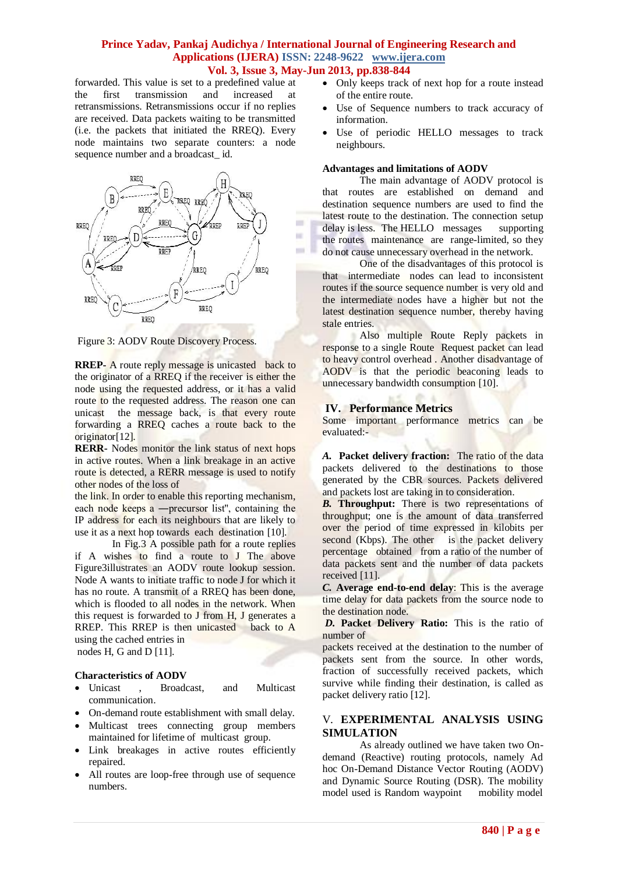÷

ie.

and in

forwarded. This value is set to a predefined value at the first transmission and increased at the first transmission and increased at retransmissions. Retransmissions occur if no replies are received. Data packets waiting to be transmitted (i.e. the packets that initiated the RREQ). Every node maintains two separate counters: a node sequence number and a broadcast id.



Figure 3: AODV Route Discovery Process.

**RREP-** A route reply message is unicasted back to the originator of a RREQ if the receiver is either the node using the requested address, or it has a valid route to the requested address. The reason one can unicast the message back, is that every route forwarding a RREQ caches a route back to the originator[12].

**RERR-** Nodes monitor the link status of next hops in active routes. When a link breakage in an active route is detected, a RERR message is used to notify other nodes of the loss of

the link. In order to enable this reporting mechanism, each node keeps a ―precursor list'', containing the IP address for each its neighbours that are likely to use it as a next hop towards each destination [10].

In Fig.3 A possible path for a route replies if A wishes to find a route to J The above Figure3illustrates an AODV route lookup session. Node A wants to initiate traffic to node J for which it has no route. A transmit of a RREO has been done, which is flooded to all nodes in the network. When this request is forwarded to J from H, J generates a RREP. This RREP is then unicasted back to A using the cached entries in nodes H, G and D [11].

#### **Characteristics of AODV**

- Unicast , Broadcast, and Multicast communication.
- On-demand route establishment with small delay.
- Multicast trees connecting group members maintained for lifetime of multicast group.
- Link breakages in active routes efficiently repaired.
- All routes are loop-free through use of sequence numbers.
- Only keeps track of next hop for a route instead of the entire route.
- Use of Sequence numbers to track accuracy of information.
- Use of periodic HELLO messages to track neighbours.

### **Advantages and limitations of AODV**

The main advantage of AODV protocol is that routes are established on demand and destination sequence numbers are used to find the latest route to the destination. The connection setup delay is less. The HELLO messages supporting the routes maintenance are range-limited, so they do not cause unnecessary overhead in the network.

One of the disadvantages of this protocol is that intermediate nodes can lead to inconsistent routes if the source sequence number is very old and the intermediate nodes have a higher but not the latest destination sequence number, thereby having stale entries.

Also multiple Route Reply packets in response to a single Route Request packet can lead to heavy control overhead . Another disadvantage of AODV is that the periodic beaconing leads to unnecessary bandwidth consumption [10].

## **IV. Performance Metrics**

Some important performance metrics can be evaluated:-

*A.* **Packet delivery fraction:** The ratio of the data packets delivered to the destinations to those generated by the CBR sources. Packets delivered and packets lost are taking in to consideration.

*B.* **Throughput:** There is two representations of throughput; one is the amount of data transferred over the period of time expressed in kilobits per second (Kbps). The other is the packet delivery percentage obtained from a ratio of the number of data packets sent and the number of data packets received [11].

*C.* **Average end-to-end delay**: This is the average time delay for data packets from the source node to the destination node.

*D.* **Packet Delivery Ratio:** This is the ratio of number of

packets received at the destination to the number of packets sent from the source. In other words, fraction of successfully received packets, which survive while finding their destination, is called as packet delivery ratio [12].

# V. **EXPERIMENTAL ANALYSIS USING SIMULATION**

As already outlined we have taken two Ondemand (Reactive) routing protocols, namely Ad hoc On-Demand Distance Vector Routing (AODV) and Dynamic Source Routing (DSR). The mobility model used is Random waypoint mobility model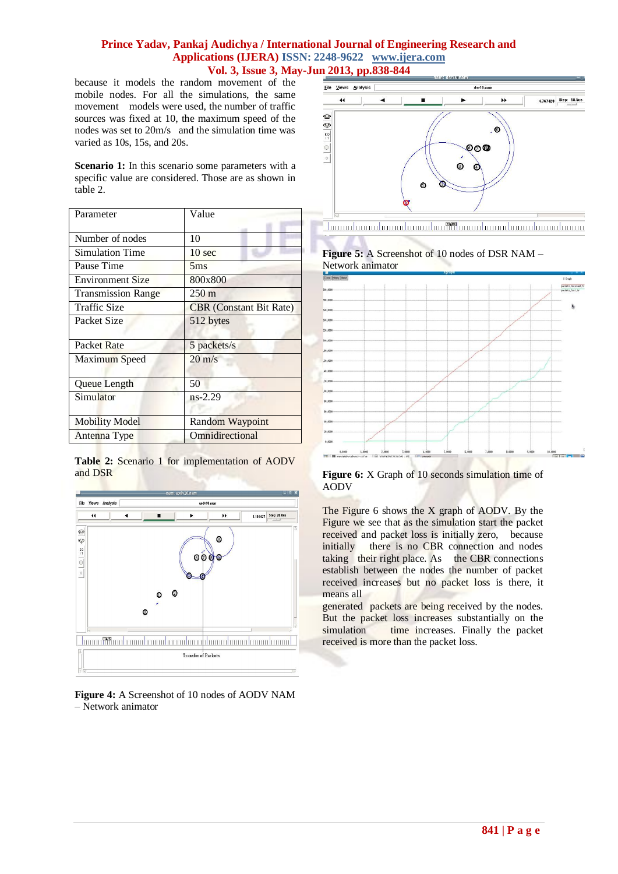because it models the random movement of the mobile nodes. For all the simulations, the same movement models were used, the number of traffic sources was fixed at 10, the maximum speed of the nodes was set to 20m/s and the simulation time was varied as 10s, 15s, and 20s.

**Scenario 1:** In this scenario some parameters with a specific value are considered. Those are as shown in table 2.

| Parameter                 | Value                          |
|---------------------------|--------------------------------|
|                           |                                |
| Number of nodes           | 10                             |
| Simulation Time           | $10 \text{ sec}$               |
| Pause Time                | 5ms                            |
| <b>Environment Size</b>   | 800x800                        |
| <b>Transmission Range</b> | 250 m                          |
| <b>Traffic Size</b>       | <b>CBR</b> (Constant Bit Rate) |
| Packet Size               | 512 bytes                      |
|                           |                                |
| Packet Rate               | 5 packets/s                    |
| Maximum Speed             | $20 \text{ m/s}$               |
|                           |                                |
| Queue Length              | 50                             |
| Simulator                 | $ns-2.29$                      |
|                           |                                |
| <b>Mobility Model</b>     | Random Waypoint                |
| Antenna Type              | Omnidirectional                |

Table 2: Scenario 1 for implementation of AODV and DSR



**Figure 4:** A Screenshot of 10 nodes of AODV NAM – Network animator



**Junnahmanlangulungdooffilmoodungdoonalmanlangulungu** 

## **Figure 5:** A Screenshot of 10 nodes of DSR NAM – Network animator



**Figure 6:** X Graph of 10 seconds simulation time of AODV

The Figure 6 shows the X graph of AODV. By the Figure we see that as the simulation start the packet received and packet loss is initially zero, because initially there is no CBR connection and nodes taking their right place. As the CBR connections establish between the nodes the number of packet received increases but no packet loss is there, it means all

generated packets are being received by the nodes. But the packet loss increases substantially on the simulation time increases. Finally the packet received is more than the packet loss.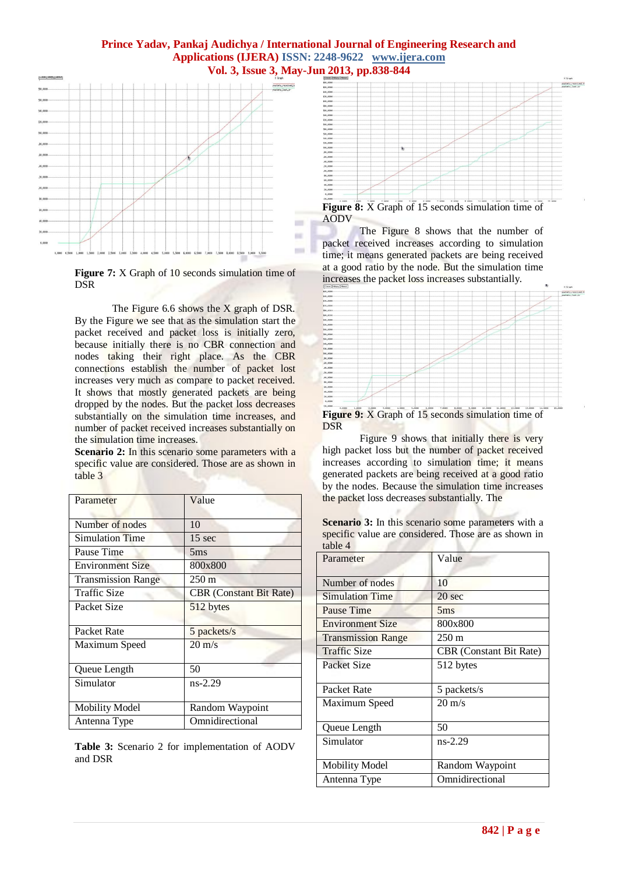

**Figure 7:** X Graph of 10 seconds simulation time of DSR

The Figure 6.6 shows the X graph of DSR. By the Figure we see that as the simulation start the packet received and packet loss is initially zero, because initially there is no CBR connection and nodes taking their right place. As the CBR connections establish the number of packet lost increases very much as compare to packet received. It shows that mostly generated packets are being dropped by the nodes. But the packet loss decreases substantially on the simulation time increases, and number of packet received increases substantially on the simulation time increases.

**Scenario 2:** In this scenario some parameters with a specific value are considered. Those are as shown in table 3

| Parameter                 | Value                          |
|---------------------------|--------------------------------|
|                           |                                |
| Number of nodes           | 10                             |
| Simulation Time           | $15 \text{ sec}$               |
| Pause Time                | 5 <sub>ms</sub>                |
| <b>Environment Size</b>   | 800x800                        |
| <b>Transmission Range</b> | $250 \text{ m}$                |
| <b>Traffic Size</b>       | <b>CBR</b> (Constant Bit Rate) |
| Packet Size               | 512 bytes                      |
| Packet Rate               | 5 packets/s                    |
| Maximum Speed             | $20 \text{ m/s}$               |
| Queue Length              | 50                             |
| Simulator                 | $ns-2.29$                      |
| <b>Mobility Model</b>     | Random Waypoint                |
| Antenna Type              | Omnidirectional                |

**Table 3:** Scenario 2 for implementation of AODV and DSR



**Figure 8:** X Graph of 15 seconds simulation time of AODV

The Figure 8 shows that the number of packet received increases according to simulation time; it means generated packets are being received at a good ratio by the node. But the simulation time increases the packet loss increases substantially.



**Figure 9:** X Graph of 15 seconds simulation time of **DSR** 

Figure 9 shows that initially there is very high packet loss but the number of packet received increases according to simulation time; it means generated packets are being received at a good ratio by the nodes. Because the simulation time increases the packet loss decreases substantially. The

**Scenario 3:** In this scenario some parameters with a specific value are considered. Those are as shown in  $t$ able  $4$ 

| Parameter                 | Value                          |
|---------------------------|--------------------------------|
|                           |                                |
| Number of nodes           | 10                             |
| <b>Simulation Time</b>    | $20 \text{ sec}$               |
| Pause Time                | 5 <sub>ms</sub>                |
| <b>Environment Size</b>   | 800x800                        |
| <b>Transmission Range</b> | $250 \text{ m}$                |
| <b>Traffic Size</b>       | <b>CBR</b> (Constant Bit Rate) |
| Packet Size               | 512 bytes                      |
|                           |                                |
| Packet Rate               | 5 packets/s                    |
| Maximum Speed             | $20 \text{ m/s}$               |
|                           |                                |
| Queue Length              | 50                             |
| Simulator                 | $ns-2.29$                      |
|                           |                                |
| <b>Mobility Model</b>     | Random Waypoint                |
| Antenna Type              | Omnidirectional                |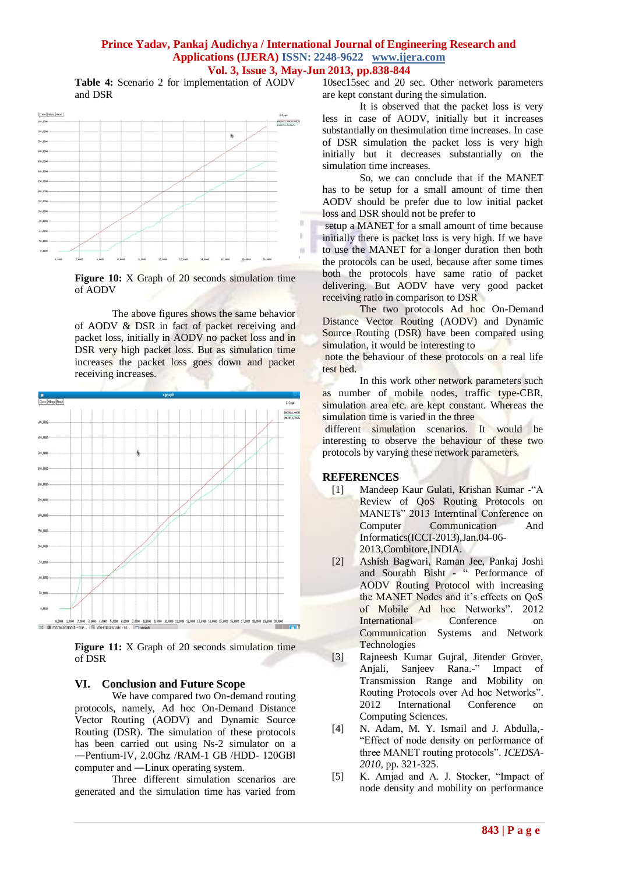**Table 4:** Scenario 2 for implementation of AODV and DSR



Figure 10: X Graph of 20 seconds simulation time of AODV

The above figures shows the same behavior of AODV & DSR in fact of packet receiving and packet loss, initially in AODV no packet loss and in DSR very high packet loss. But as simulation time increases the packet loss goes down and packet receiving increases.



**Figure 11:** X Graph of 20 seconds simulation time of DSR

#### **VI.****Conclusion and Future Scope**

We have compared two On-demand routing protocols, namely, Ad hoc On-Demand Distance Vector Routing (AODV) and Dynamic Source Routing (DSR). The simulation of these protocols has been carried out using Ns-2 simulator on a ―Pentium-IV, 2.0Ghz /RAM-1 GB /HDD- 120GB‖ computer and ―Linux operating system.

Three different simulation scenarios are generated and the simulation time has varied from

10sec15sec and 20 sec. Other network parameters are kept constant during the simulation.

It is observed that the packet loss is very less in case of AODV, initially but it increases substantially on thesimulation time increases. In case of DSR simulation the packet loss is very high initially but it decreases substantially on the simulation time increases.

So, we can conclude that if the MANET has to be setup for a small amount of time then AODV should be prefer due to low initial packet loss and DSR should not be prefer to

setup a MANET for a small amount of time because initially there is packet loss is very high. If we have to use the MANET for a longer duration then both the protocols can be used, because after some times both the protocols have same ratio of packet delivering. But AODV have very good packet receiving ratio in comparison to DSR

The two protocols Ad hoc On-Demand Distance Vector Routing (AODV) and Dynamic Source Routing (DSR) have been compared using simulation, it would be interesting to

note the behaviour of these protocols on a real life test bed.

In this work other network parameters such as number of mobile nodes, traffic type-CBR, simulation area etc. are kept constant. Whereas the simulation time is varied in the three

different simulation scenarios. It would be interesting to observe the behaviour of these two protocols by varying these network parameters.

#### **REFERENCES**

- [1] Mandeep Kaur Gulati, Krishan Kumar -"A Review of QoS Routing Protocols on MANETs" 2013 Interntinal Conference on Computer Communication And Informatics(ICCI-2013),Jan.04-06- 2013,Combitore,INDIA.
- [2] Ashish Bagwari, Raman Jee, Pankaj Joshi and Sourabh Bisht - " Performance of AODV Routing Protocol with increasing the MANET Nodes and it's effects on QoS of Mobile Ad hoc Networks". 2012 International Conference on Communication Systems and Network **Technologies**
- [3] Rajneesh Kumar Gujral, Jitender Grover, Anjali, Sanjeev Rana.-" Impact of Transmission Range and Mobility on Routing Protocols over Ad hoc Networks". 2012 International Conference Computing Sciences.
- [4] N. Adam, M. Y. Ismail and J. Abdulla,- "Effect of node density on performance of three MANET routing protocols". *ICEDSA-2010*, pp. 321-325.
- [5] K. Amjad and A. J. Stocker, "Impact of node density and mobility on performance